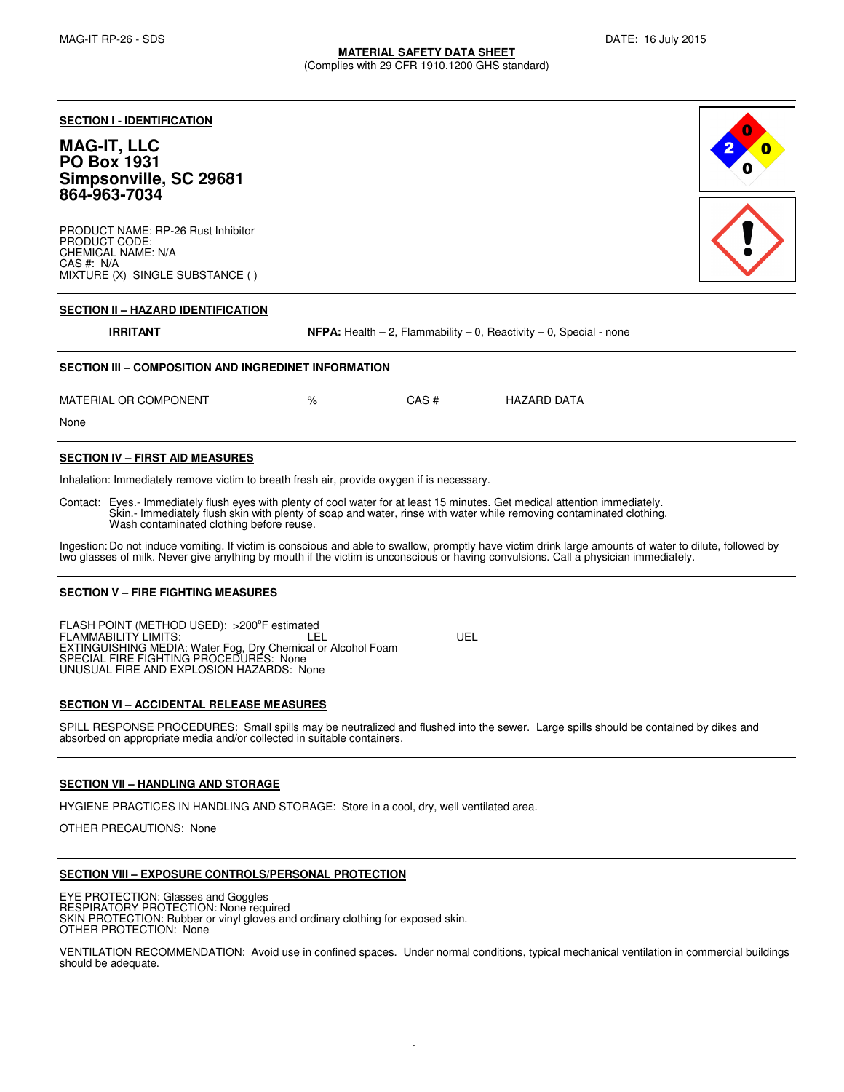(Complies with 29 CFR 1910.1200 GHS standard)

#### **SECTION I - IDENTIFICATION**

# **MAG-IT, LLC PO Box 1931 Simpsonville, SC 29681 864-963-7034**

PRODUCT NAME: RP-26 Rust Inhibitor PRODUCT CODE: CHEMICAL NAME: N/A CAS #: N/A MIXTURE (X) SINGLE SUBSTANCE ( )



#### **SECTION II – HAZARD IDENTIFICATION**

**IRRITANT** NFPA: Health – 2, Flammability – 0, Reactivity – 0, Special - none

# **SECTION III – COMPOSITION AND INGREDINET INFORMATION**

| MATERIAL OR COMPONENT | % | CAS# | HAZARD DATA |
|-----------------------|---|------|-------------|
| None                  |   |      |             |

#### **SECTION IV – FIRST AID MEASURES**

Inhalation: Immediately remove victim to breath fresh air, provide oxygen if is necessary.

Contact: Eyes.- Immediately flush eyes with plenty of cool water for at least 15 minutes. Get medical attention immediately. Skin.- Immediately flush skin with plenty of soap and water, rinse with water while removing contaminated clothing. Wash contaminated clothing before reuse.

Ingestion: Do not induce vomiting. If victim is conscious and able to swallow, promptly have victim drink large amounts of water to dilute, followed by two glasses of milk. Never give anything by mouth if the victim is unconscious or having convulsions. Call a physician immediately.

#### **SECTION V – FIRE FIGHTING MEASURES**

FLASH POINT (METHOD USED): >200°F estimated FLAMMABILITY LIMITS: LEL UEL EXTINGUISHING MEDIA: Water Fog, Dry Chemical or Alcohol Foam SPECIAL FIRE FIGHTING PROCEDURES: None UNUSUAL FIRE AND EXPLOSION HAZARDS: None

## **SECTION VI – ACCIDENTAL RELEASE MEASURES**

SPILL RESPONSE PROCEDURES: Small spills may be neutralized and flushed into the sewer. Large spills should be contained by dikes and absorbed on appropriate media and/or collected in suitable containers.

#### **SECTION VII – HANDLING AND STORAGE**

HYGIENE PRACTICES IN HANDLING AND STORAGE: Store in a cool, dry, well ventilated area.

OTHER PRECAUTIONS: None

#### **SECTION VIII – EXPOSURE CONTROLS/PERSONAL PROTECTION**

EYE PROTECTION: Glasses and Goggles RESPIRATORY PROTECTION: None required SKIN PROTECTION: Rubber or vinyl gloves and ordinary clothing for exposed skin. OTHER PROTECTION: None

VENTILATION RECOMMENDATION: Avoid use in confined spaces. Under normal conditions, typical mechanical ventilation in commercial buildings should be adequate.